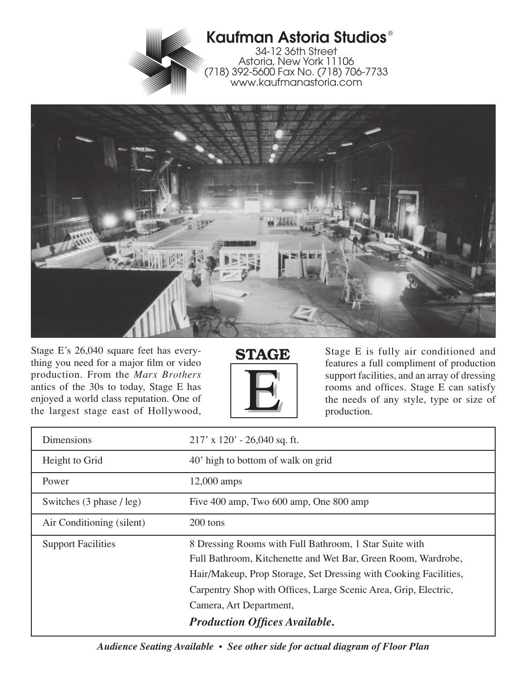



Stage E's 26,040 square feet has everything you need for a major film or video production. From the *Marx Brothers* antics of the 30s to today, Stage E has enjoyed a world class reputation. One of the largest stage east of Hollywood,



Stage E is fully air conditioned and features a full compliment of production support facilities, and an array of dressing rooms and offices. Stage E can satisfy the needs of any style, type or size of production.

| Dimensions                | $217'$ x $120'$ - 26,040 sq. ft.                                                                                                                                                                                                                                                                                                  |
|---------------------------|-----------------------------------------------------------------------------------------------------------------------------------------------------------------------------------------------------------------------------------------------------------------------------------------------------------------------------------|
| Height to Grid            | 40' high to bottom of walk on grid                                                                                                                                                                                                                                                                                                |
| Power                     | $12,000$ amps                                                                                                                                                                                                                                                                                                                     |
| Switches (3 phase / leg)  | Five 400 amp, Two 600 amp, One 800 amp                                                                                                                                                                                                                                                                                            |
| Air Conditioning (silent) | 200 tons                                                                                                                                                                                                                                                                                                                          |
| <b>Support Facilities</b> | 8 Dressing Rooms with Full Bathroom, 1 Star Suite with<br>Full Bathroom, Kitchenette and Wet Bar, Green Room, Wardrobe,<br>Hair/Makeup, Prop Storage, Set Dressing with Cooking Facilities,<br>Carpentry Shop with Offices, Large Scenic Area, Grip, Electric,<br>Camera, Art Department,<br><b>Production Offices Available.</b> |

*Audience Seating Available • See other side for actual diagram of Floor Plan*